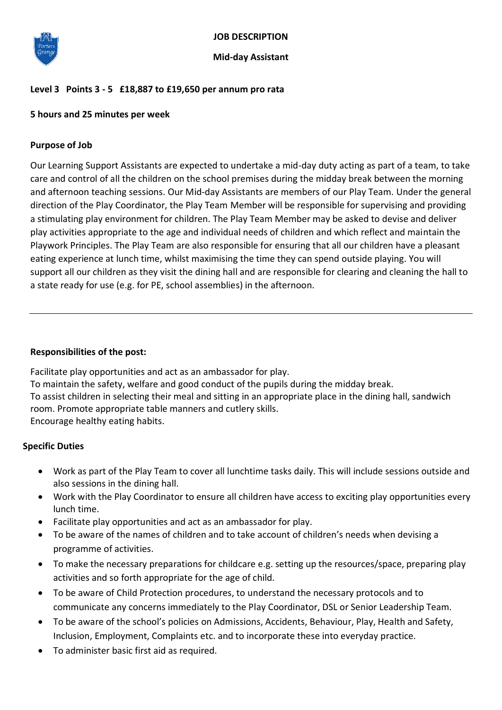

# **JOB DESCRIPTION**

#### **Mid-day Assistant**

## **Level 3 Points 3 - 5 £18,887 to £19,650 per annum pro rata**

## **5 hours and 25 minutes per week**

### **Purpose of Job**

Our Learning Support Assistants are expected to undertake a mid-day duty acting as part of a team, to take care and control of all the children on the school premises during the midday break between the morning and afternoon teaching sessions. Our Mid-day Assistants are members of our Play Team. Under the general direction of the Play Coordinator, the Play Team Member will be responsible for supervising and providing a stimulating play environment for children. The Play Team Member may be asked to devise and deliver play activities appropriate to the age and individual needs of children and which reflect and maintain the Playwork Principles. The Play Team are also responsible for ensuring that all our children have a pleasant eating experience at lunch time, whilst maximising the time they can spend outside playing. You will support all our children as they visit the dining hall and are responsible for clearing and cleaning the hall to a state ready for use (e.g. for PE, school assemblies) in the afternoon.

#### **Responsibilities of the post:**

Facilitate play opportunities and act as an ambassador for play. To maintain the safety, welfare and good conduct of the pupils during the midday break. To assist children in selecting their meal and sitting in an appropriate place in the dining hall, sandwich room. Promote appropriate table manners and cutlery skills. Encourage healthy eating habits.

### **Specific Duties**

- Work as part of the Play Team to cover all lunchtime tasks daily. This will include sessions outside and also sessions in the dining hall.
- Work with the Play Coordinator to ensure all children have access to exciting play opportunities every lunch time.
- Facilitate play opportunities and act as an ambassador for play.
- To be aware of the names of children and to take account of children's needs when devising a programme of activities.
- To make the necessary preparations for childcare e.g. setting up the resources/space, preparing play activities and so forth appropriate for the age of child.
- To be aware of Child Protection procedures, to understand the necessary protocols and to communicate any concerns immediately to the Play Coordinator, DSL or Senior Leadership Team.
- To be aware of the school's policies on Admissions, Accidents, Behaviour, Play, Health and Safety, Inclusion, Employment, Complaints etc. and to incorporate these into everyday practice.
- To administer basic first aid as required.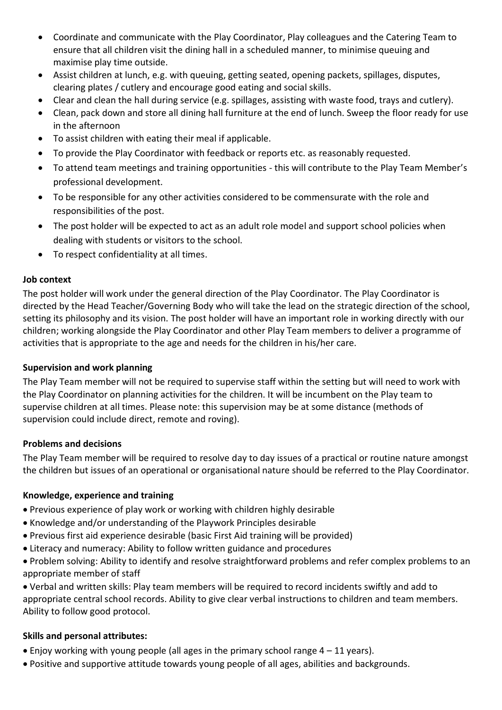- Coordinate and communicate with the Play Coordinator, Play colleagues and the Catering Team to ensure that all children visit the dining hall in a scheduled manner, to minimise queuing and maximise play time outside.
- Assist children at lunch, e.g. with queuing, getting seated, opening packets, spillages, disputes, clearing plates / cutlery and encourage good eating and social skills.
- Clear and clean the hall during service (e.g. spillages, assisting with waste food, trays and cutlery).
- Clean, pack down and store all dining hall furniture at the end of lunch. Sweep the floor ready for use in the afternoon
- To assist children with eating their meal if applicable.
- To provide the Play Coordinator with feedback or reports etc. as reasonably requested.
- To attend team meetings and training opportunities this will contribute to the Play Team Member's professional development.
- To be responsible for any other activities considered to be commensurate with the role and responsibilities of the post.
- The post holder will be expected to act as an adult role model and support school policies when dealing with students or visitors to the school.
- To respect confidentiality at all times.

# **Job context**

The post holder will work under the general direction of the Play Coordinator. The Play Coordinator is directed by the Head Teacher/Governing Body who will take the lead on the strategic direction of the school, setting its philosophy and its vision. The post holder will have an important role in working directly with our children; working alongside the Play Coordinator and other Play Team members to deliver a programme of activities that is appropriate to the age and needs for the children in his/her care.

# **Supervision and work planning**

The Play Team member will not be required to supervise staff within the setting but will need to work with the Play Coordinator on planning activities for the children. It will be incumbent on the Play team to supervise children at all times. Please note: this supervision may be at some distance (methods of supervision could include direct, remote and roving).

## **Problems and decisions**

The Play Team member will be required to resolve day to day issues of a practical or routine nature amongst the children but issues of an operational or organisational nature should be referred to the Play Coordinator.

# **Knowledge, experience and training**

- Previous experience of play work or working with children highly desirable
- Knowledge and/or understanding of the Playwork Principles desirable
- Previous first aid experience desirable (basic First Aid training will be provided)
- Literacy and numeracy: Ability to follow written guidance and procedures
- Problem solving: Ability to identify and resolve straightforward problems and refer complex problems to an appropriate member of staff

 Verbal and written skills: Play team members will be required to record incidents swiftly and add to appropriate central school records. Ability to give clear verbal instructions to children and team members. Ability to follow good protocol.

## **Skills and personal attributes:**

- Enjoy working with young people (all ages in the primary school range 4 11 years).
- Positive and supportive attitude towards young people of all ages, abilities and backgrounds.